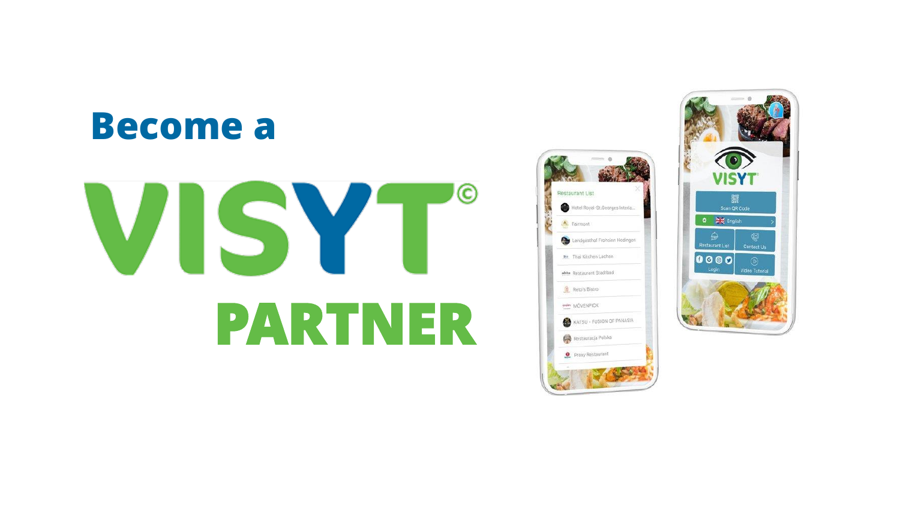#### **Become a**

# $\odot$ VISYT **PARTNER**



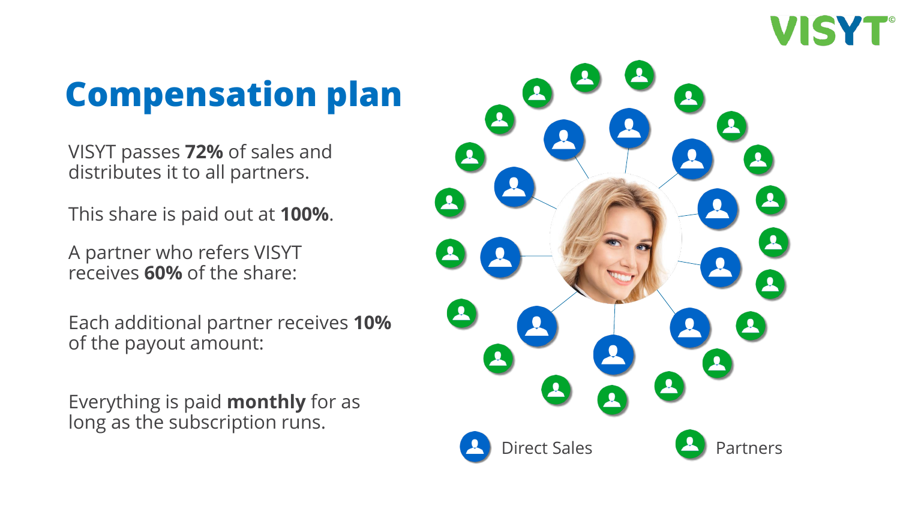

## **Compensation plan**

VISYT passes **72%** of sales and distributes it to all partners.

This share is paid out at **100%**.

A partner who refers VISYT receives **60%** of the share:

Each additional partner receives **10%** of the payout amount:

Everything is paid **monthly** for as long as the subscription runs.

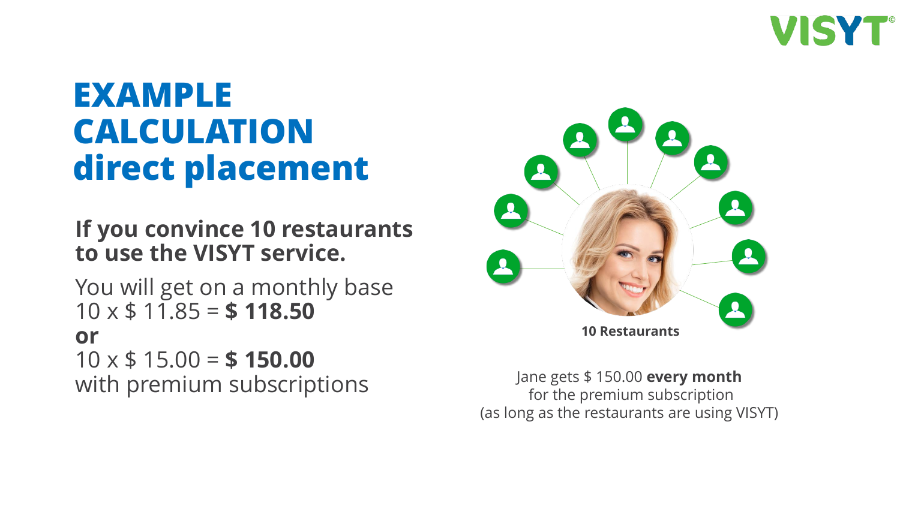

### **EXAMPLE CALCULATION direct placement**

**If you convince 10 restaurants to use the VISYT service.**

You will get on a monthly base 10 x \$ 11.85 = **\$ 118.50 or** 10 x \$ 15.00 = **\$ 150.00** with premium subscriptions Jane gets \$ 150.00 **every month**



for the premium subscription (as long as the restaurants are using VISYT)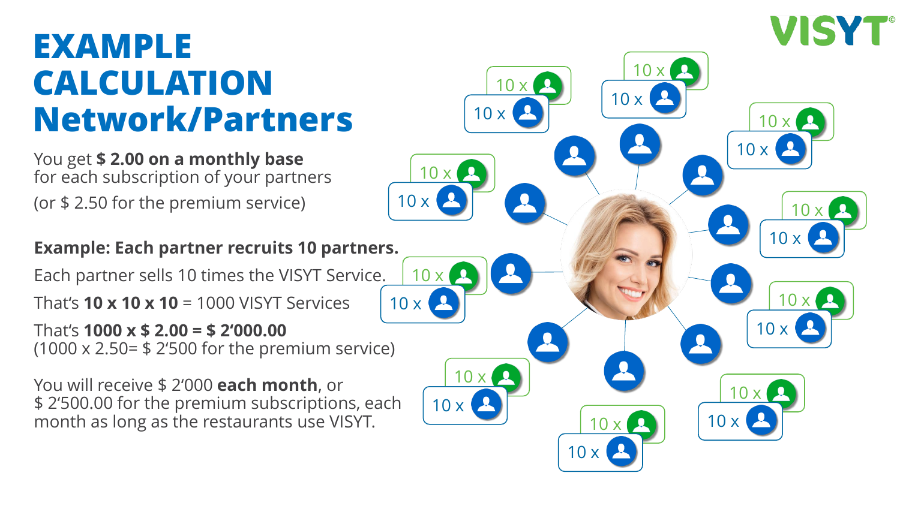#### **EXAMPLE CALCULATION Network/Partners**

You get **\$ 2.00 on a monthly base** for each subscription of your partners (or \$ 2.50 for the premium service)

**Example: Each partner recruits 10 partners.**

Each partner sells 10 times the VISYT Service.

That's **10 x 10 x 10** = 1000 VISYT Services

That's **1000 x \$ 2.00 = \$ 2'000.00** (1000 x 2.50= \$ 2'500 for the premium service)

You will receive \$ 2'000 **each month**, or \$ 2'500.00 for the premium subscriptions, each month as long as the restaurants use VISYT.

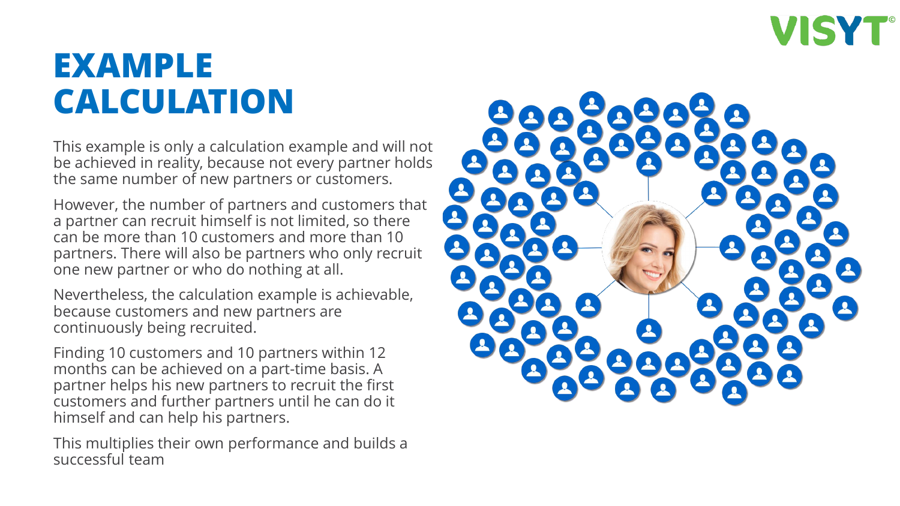

#### **EXAMPLE CALCULATION**

This example is only a calculation example and will not be achieved in reality, because not every partner holds the same number of new partners or customers.

However, the number of partners and customers that a partner can recruit himself is not limited, so there can be more than 10 customers and more than 10 partners. There will also be partners who only recruit one new partner or who do nothing at all.

Nevertheless, the calculation example is achievable, because customers and new partners are continuously being recruited.

Finding 10 customers and 10 partners within 12 months can be achieved on a part-time basis. A partner helps his new partners to recruit the first customers and further partners until he can do it himself and can help his partners.

This multiplies their own performance and builds a successful team

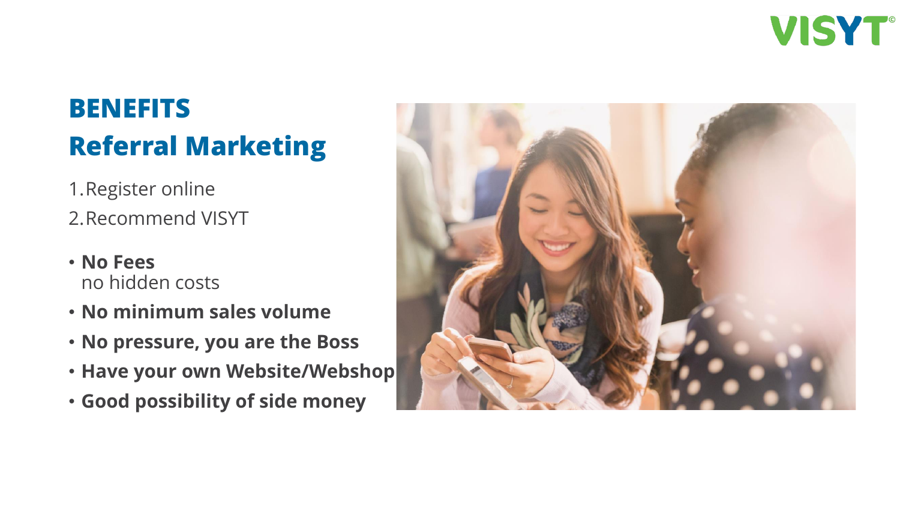

#### **BENEFITS Referral Marketing**

- 1.Register online
- 2.Recommend VISYT
- **No Fees** no hidden costs
- **No minimum sales volume**
- **No pressure, you are the Boss**
- **Have your own Website/Webshop**
- **Good possibility of side money**

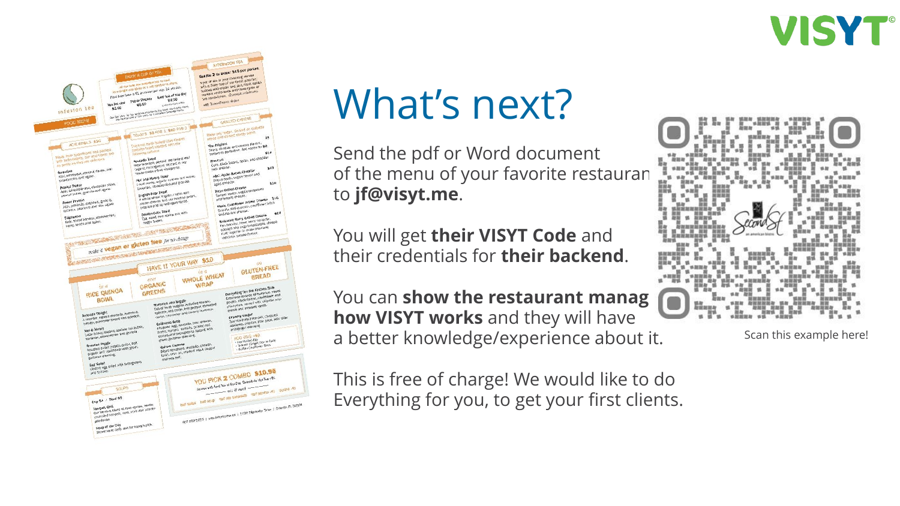



## What's next?

Send the pdf or Word document of the menu of your favorite restaurant to **jf@visyt.me**.

You will get **their VISYT Code** and their credentials for **their backend**.

You can **show the restaurant manag how VISYT works** and they will have a better knowledge/experience about it.

This is free of charge! We would like to do Everything for you, to get your first clients.



Scan this example here!